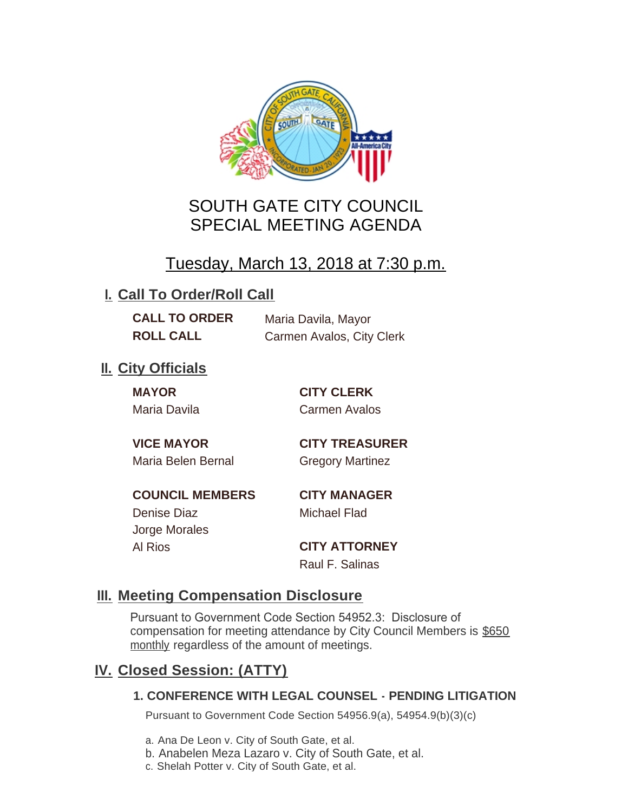

# SOUTH GATE CITY COUNCIL SPECIAL MEETING AGENDA

# Tuesday, March 13, 2018 at 7:30 p.m.

## **I. Call To Order/Roll Call**

**CALL TO ORDER** Maria Davila, Mayor

**ROLL CALL** Carmen Avalos, City Clerk

## **II.** City Officials

**MAYOR CITY CLERK**

Maria Davila Carmen Avalos

Maria Belen Bernal **Gregory Martinez** 

**VICE MAYOR CITY TREASURER**

**COUNCIL MEMBERS CITY MANAGER** Denise Diaz Michael Flad

Jorge Morales

Al Rios **CITY ATTORNEY** Raul F. Salinas

### **Meeting Compensation Disclosure III.**

Pursuant to Government Code Section 54952.3: Disclosure of compensation for meeting attendance by City Council Members is \$650 monthly regardless of the amount of meetings.

## **Closed Session: (ATTY) IV.**

### **1. CONFERENCE WITH LEGAL COUNSEL - PENDING LITIGATION**

Pursuant to Government Code Section 54956.9(a), 54954.9(b)(3)(c)

- a. Ana De Leon v. City of South Gate, et al.
- b. Anabelen Meza Lazaro v. City of South Gate, et al.
- c. Shelah Potter v. City of South Gate, et al.